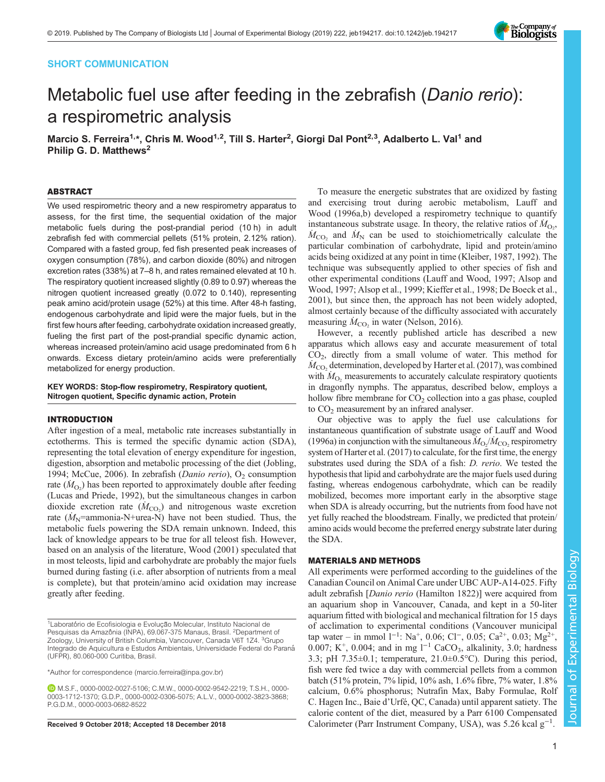# SHORT COMMUNICATION



# Metabolic fuel use after feeding in the zebrafish (Danio rerio): a respirometric analysis

Marcio S. Ferreira<sup>1,</sup>\*, Chris M. Wood<sup>1,2</sup>, Till S. Harter<sup>2</sup>, Giorgi Dal Pont<sup>2,3</sup>, Adalberto L. Val<sup>1</sup> and Philip G. D. Matthews<sup>2</sup>

## ABSTRACT

We used respirometric theory and a new respirometry apparatus to assess, for the first time, the sequential oxidation of the major metabolic fuels during the post-prandial period (10 h) in adult zebrafish fed with commercial pellets (51% protein, 2.12% ration). Compared with a fasted group, fed fish presented peak increases of oxygen consumption (78%), and carbon dioxide (80%) and nitrogen excretion rates (338%) at 7–8 h, and rates remained elevated at 10 h. The respiratory quotient increased slightly (0.89 to 0.97) whereas the nitrogen quotient increased greatly (0.072 to 0.140), representing peak amino acid/protein usage (52%) at this time. After 48-h fasting, endogenous carbohydrate and lipid were the major fuels, but in the first few hours after feeding, carbohydrate oxidation increased greatly, fueling the first part of the post-prandial specific dynamic action, whereas increased protein/amino acid usage predominated from 6 h onwards. Excess dietary protein/amino acids were preferentially metabolized for energy production.

KEY WORDS: Stop-flow respirometry, Respiratory quotient, Nitrogen quotient, Specific dynamic action, Protein

# INTRODUCTION

After ingestion of a meal, metabolic rate increases substantially in ectotherms. This is termed the specific dynamic action (SDA), representing the total elevation of energy expenditure for ingestion, digestion, absorption and metabolic processing of the diet ([Jobling,](#page-6-0) [1994](#page-6-0); [McCue, 2006\)](#page-6-0). In zebrafish (*Danio rerio*),  $O_2$  consumption rate  $(M<sub>O<sub>2</sub></sub>)$  has been reported to approximately double after feeding [\(Lucas and Priede, 1992](#page-6-0)), but the simultaneous changes in carbon dioxide excretion rate  $(M_{\text{CO}_2})$  and nitrogenous waste excretion rate  $(M_N=$ ammonia-N+urea-N) have not been studied. Thus, the metabolic fuels powering the SDA remain unknown. Indeed, this lack of knowledge appears to be true for all teleost fish. However, based on an analysis of the literature, [Wood \(2001\)](#page-6-0) speculated that in most teleosts, lipid and carbohydrate are probably the major fuels burned during fasting (i.e. after absorption of nutrients from a meal is complete), but that protein/amino acid oxidation may increase greatly after feeding.

<sup>1</sup>Laboratório de Ecofisiologia e Evolução Molecular, Instituto Nacional de Pesquisas da Amazônia (INPA), 69.067-375 Manaus, Brasil. <sup>2</sup>Department of Zoology, University of British Columbia, Vancouver, Canada V6T 1Z4. <sup>3</sup>Grupo Integrado de Aquicultura e Estudos Ambientais, Universidade Federal do Paraná (UFPR), 80.060-000 Curitiba, Brasil.

\*Author for correspondence [\(marcio.ferreira@inpa.gov.br\)](mailto:marcio.ferreira@inpa.gov.br)

M.S.F., [0000-0002-0027-5106;](http://orcid.org/0000-0002-0027-5106) C.M.W., [0000-0002-9542-2219;](http://orcid.org/0000-0002-9542-2219) T.S.H., [0000-](http://orcid.org/0000-0003-1712-1370) [0003-1712-1370;](http://orcid.org/0000-0003-1712-1370) G.D.P., [0000-0002-0306-5075](http://orcid.org/0000-0002-0306-5075); A.L.V., [0000-0002-3823-3868](http://orcid.org/0000-0002-3823-3868); P.G.D.M., [0000-0003-0682-8522](http://orcid.org/0000-0003-0682-8522)

To measure the energetic substrates that are oxidized by fasting and exercising trout during aerobic metabolism, [Lauff and](#page-6-0) [Wood \(1996a,b\)](#page-6-0) developed a respirometry technique to quantify instantaneous substrate usage. In theory, the relative ratios of  $\dot{M}_{\text{O}_2}$ ,  $\dot{M}_{\text{CO}_2}$  and  $\dot{M}_{\text{N}}$  can be used to stoichiometrically calculate the particular combination of carbohydrate, lipid and protein/amino acids being oxidized at any point in time [\(Kleiber, 1987, 1992\)](#page-6-0). The technique was subsequently applied to other species of fish and other experimental conditions [\(Lauff and Wood, 1997](#page-6-0); [Alsop and](#page-5-0) [Wood, 1997; Alsop et al., 1999](#page-5-0); [Kieffer et al., 1998](#page-6-0); [De Boeck et al.,](#page-5-0) [2001\)](#page-5-0), but since then, the approach has not been widely adopted, almost certainly because of the difficulty associated with accurately measuring  $\dot{M}_{\text{CO}_2}$  in water ([Nelson, 2016](#page-6-0)).

However, a recently published article has described a new apparatus which allows easy and accurate measurement of total CO2, directly from a small volume of water. This method for  $\dot{M}_{\rm CO_2}$  determination, developed by [Harter et al. \(2017\)](#page-6-0), was combined with  $M_{\text{O}_2}$  measurements to accurately calculate respiratory quotients in dragonfly nymphs. The apparatus, described below, employs a hollow fibre membrane for  $CO<sub>2</sub>$  collection into a gas phase, coupled to  $CO<sub>2</sub>$  measurement by an infrared analyser.

Our objective was to apply the fuel use calculations for instantaneous quantification of substrate usage of [Lauff and Wood](#page-6-0) [\(1996a\)](#page-6-0) in conjunction with the simultaneous  $\dot{M}_{\text{O}_2}/\dot{M}_{\text{CO}_2}$  respirometry system of [Harter et al. \(2017\)](#page-6-0) to calculate, for the first time, the energy substrates used during the SDA of a fish: D. rerio. We tested the hypothesis that lipid and carbohydrate are the major fuels used during fasting, whereas endogenous carbohydrate, which can be readily mobilized, becomes more important early in the absorptive stage when SDA is already occurring, but the nutrients from food have not yet fully reached the bloodstream. Finally, we predicted that protein/ amino acids would become the preferred energy substrate later during the SDA.

## MATERIALS AND METHODS

All experiments were performed according to the guidelines of the Canadian Council on Animal Care under UBC AUP-A14-025. Fifty adult zebrafish [Danio rerio (Hamilton 1822)] were acquired from an aquarium shop in Vancouver, Canada, and kept in a 50-liter aquarium fitted with biological and mechanical filtration for 15 days of acclimation to experimental conditions (Vancouver municipal tap water – in mmol  $1^{-1}$ : Na<sup>+</sup>, 0.06; Cl<sup>-</sup>, 0.05; Ca<sup>2+</sup>, 0.03; Mg<sup>2+</sup>, 0.007; K<sup>+</sup>, 0.004; and in mg <sup>1-1</sup> CaCO<sub>3</sub>, alkalinity, 3.0; hardness 3.3; pH  $7.35\pm0.1$ ; temperature,  $21.0\pm0.5$ °C). During this period, fish were fed twice a day with commercial pellets from a common batch (51% protein, 7% lipid, 10% ash, 1.6% fibre, 7% water, 1.8% calcium, 0.6% phosphorus; Nutrafin Max, Baby Formulae, Rolf C. Hagen Inc., Baie d'Urfé, QC, Canada) until apparent satiety. The calorie content of the diet, measured by a Parr 6100 Compensated Received 9 October 2018; Accepted 18 December 2018 . Calorimeter (Parr Instrument Company, USA), was 5.26 kcal  $g^{-1}$ .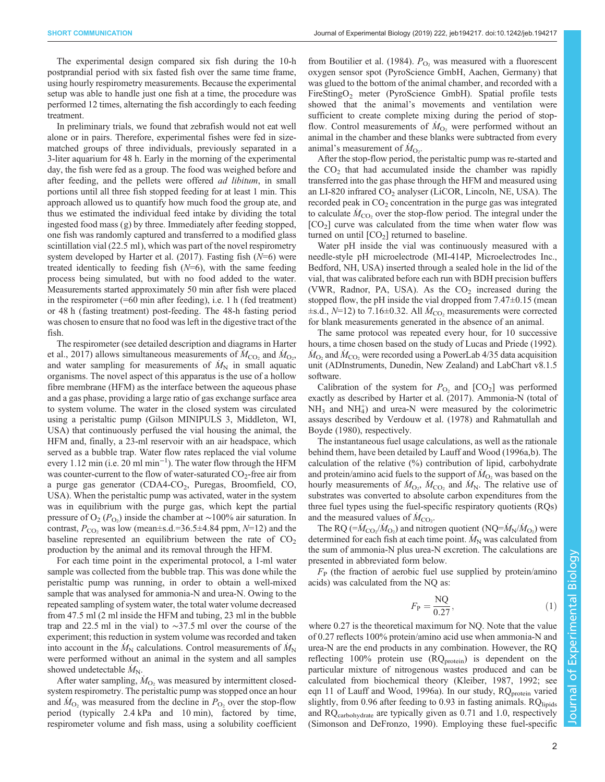The experimental design compared six fish during the 10-h postprandial period with six fasted fish over the same time frame, using hourly respirometry measurements. Because the experimental setup was able to handle just one fish at a time, the procedure was performed 12 times, alternating the fish accordingly to each feeding treatment.

In preliminary trials, we found that zebrafish would not eat well alone or in pairs. Therefore, experimental fishes were fed in sizematched groups of three individuals, previously separated in a 3-liter aquarium for 48 h. Early in the morning of the experimental day, the fish were fed as a group. The food was weighed before and after feeding, and the pellets were offered ad libitum, in small portions until all three fish stopped feeding for at least 1 min. This approach allowed us to quantify how much food the group ate, and thus we estimated the individual feed intake by dividing the total ingested food mass (g) by three. Immediately after feeding stopped, one fish was randomly captured and transferred to a modified glass scintillation vial (22.5 ml), which was part of the novel respirometry system developed by Harter et al.  $(2017)$ . Fasting fish  $(N=6)$  were treated identically to feeding fish  $(N=6)$ , with the same feeding process being simulated, but with no food added to the water. Measurements started approximately 50 min after fish were placed in the respirometer (=60 min after feeding), i.e. 1 h (fed treatment) or 48 h (fasting treatment) post-feeding. The 48-h fasting period was chosen to ensure that no food was left in the digestive tract of the fish.

The respirometer (see detailed description and diagrams in [Harter](#page-6-0) [et al., 2017\)](#page-6-0) allows simultaneous measurements of  $\dot{M}_{\text{CO}_2}$  and  $\dot{M}_{\text{O}_2}$ , and water sampling for measurements of  $\dot{M}_{\rm N}$  in small aquatic organisms. The novel aspect of this apparatus is the use of a hollow fibre membrane (HFM) as the interface between the aqueous phase and a gas phase, providing a large ratio of gas exchange surface area to system volume. The water in the closed system was circulated using a peristaltic pump (Gilson MINIPULS 3, Middleton, WI, USA) that continuously perfused the vial housing the animal, the HFM and, finally, a 23-ml reservoir with an air headspace, which served as a bubble trap. Water flow rates replaced the vial volume every 1.12 min (i.e. 20 ml min−<sup>1</sup> ). The water flow through the HFM was counter-current to the flow of water-saturated  $CO<sub>2</sub>$ -free air from a purge gas generator (CDA4-CO<sub>2</sub>, Puregas, Broomfield, CO, USA). When the peristaltic pump was activated, water in the system was in equilibrium with the purge gas, which kept the partial pressure of O<sub>2</sub> ( $P_{\text{O}_2}$ ) inside the chamber at ~100% air saturation. In contrast,  $P_{CO_2}$  was low (mean $\pm$ s.d.=36.5 $\pm$ 4.84 ppm, N=12) and the baseline represented an equilibrium between the rate of  $CO<sub>2</sub>$ production by the animal and its removal through the HFM.

For each time point in the experimental protocol, a 1-ml water sample was collected from the bubble trap. This was done while the peristaltic pump was running, in order to obtain a well-mixed sample that was analysed for ammonia-N and urea-N. Owing to the repeated sampling of system water, the total water volume decreased from 47.5 ml (2 ml inside the HFM and tubing, 23 ml in the bubble trap and 22.5 ml in the vial) to ∼37.5 ml over the course of the experiment; this reduction in system volume was recorded and taken into account in the  $\dot{M}_{\rm N}$  calculations. Control measurements of  $\dot{M}_{\rm N}$ were performed without an animal in the system and all samples showed undetectable  $\dot{M}_{\rm N}$ .

After water sampling,  $\dot{M}_{\text{O}_2}$  was measured by intermittent closedsystem respirometry. The peristaltic pump was stopped once an hour and  $\dot{M}_{\text{O}_2}$  was measured from the decline in  $P_{\text{O}_2}$  over the stop-flow period (typically 2.4 kPa and 10 min), factored by time, respirometer volume and fish mass, using a solubility coefficient

from [Boutilier et al. \(1984\).](#page-5-0)  $P_{\text{O}_2}$  was measured with a fluorescent oxygen sensor spot (PyroScience GmbH, Aachen, Germany) that was glued to the bottom of the animal chamber, and recorded with a FireStingO<sub>2</sub> meter (PyroScience GmbH). Spatial profile tests showed that the animal's movements and ventilation were sufficient to create complete mixing during the period of stopflow. Control measurements of  $\dot{M}_{O_2}$  were performed without an animal in the chamber and these blanks were subtracted from every animal's measurement of  $\dot{M}_{\text{O}_2}$ .

After the stop-flow period, the peristaltic pump was re-started and the  $CO<sub>2</sub>$  that had accumulated inside the chamber was rapidly transferred into the gas phase through the HFM and measured using an LI-820 infrared  $CO<sub>2</sub>$  analyser (LiCOR, Lincoln, NE, USA). The recorded peak in  $CO<sub>2</sub>$  concentration in the purge gas was integrated to calculate  $\dot{M}_{\text{CO}_2}$  over the stop-flow period. The integral under the  $[CO<sub>2</sub>]$  curve was calculated from the time when water flow was turned on until  $[CO<sub>2</sub>]$  returned to baseline.

Water pH inside the vial was continuously measured with a needle-style pH microelectrode (MI-414P, Microelectrodes Inc., Bedford, NH, USA) inserted through a sealed hole in the lid of the vial, that was calibrated before each run with BDH precision buffers (VWR, Radnor, PA, USA). As the  $CO<sub>2</sub>$  increased during the stopped flow, the pH inside the vial dropped from 7.47 $\pm$ 0.15 (mean  $\pm$ s.d., N=12) to 7.16 $\pm$ 0.32. All  $\dot{M}_{\text{CO}_2}$  measurements were corrected for blank measurements generated in the absence of an animal.

The same protocol was repeated every hour, for 10 successive hours, a time chosen based on the study of [Lucas and Priede \(1992\).](#page-6-0)  $\dot{M}_{\text{O}_2}$  and  $\dot{M}_{\text{CO}_2}$  were recorded using a PowerLab 4/35 data acquisition unit (ADInstruments, Dunedin, New Zealand) and LabChart v8.1.5 software.

Calibration of the system for  $P_{\text{O}_2}$  and  $[CO_2]$  was performed exactly as described by [Harter et al. \(2017\)](#page-6-0). Ammonia-N (total of  $NH<sub>3</sub>$  and  $NH<sub>4</sub>$ ) and urea-N were measured by the colorimetric assays described by [Verdouw et al. \(1978\)](#page-6-0) and [Rahmatullah and](#page-6-0) [Boyde \(1980\),](#page-6-0) respectively.

The instantaneous fuel usage calculations, as well as the rationale behind them, have been detailed by [Lauff and Wood \(1996a,b\).](#page-6-0) The calculation of the relative (%) contribution of lipid, carbohydrate and protein/amino acid fuels to the support of  $\dot{M}_{\text{O}_2}$  was based on the hourly measurements of  $\dot{M}_{\text{O}_2}$ ,  $\dot{M}_{\text{CO}_2}$  and  $\dot{M}_{\text{N}}$ . The relative use of substrates was converted to absolute carbon expenditures from the three fuel types using the fuel-specific respiratory quotients (RQs) and the measured values of  $\dot{M}_{\text{CO}_2}$ .

The RQ (= $\dot{M}_{\text{CO}_2}/\dot{M}_{\text{O}_2}$ ) and nitrogen quotient (NQ= $\dot{M}_{\text{N}}/\dot{M}_{\text{O}_2}$ ) were determined for each fish at each time point.  $\dot{M}_N$  was calculated from the sum of ammonia-N plus urea-N excretion. The calculations are presented in abbreviated form below.

 $F<sub>P</sub>$  (the fraction of aerobic fuel use supplied by protein/amino acids) was calculated from the NQ as:

$$
F_{\rm P} = \frac{\rm NQ}{0.27},\tag{1}
$$

where 0.27 is the theoretical maximum for NQ. Note that the value of 0.27 reflects 100% protein/amino acid use when ammonia-N and urea-N are the end products in any combination. However, the RQ reflecting 100% protein use  $(RQ<sub>protein</sub>)$  is dependent on the particular mixture of nitrogenous wastes produced and can be calculated from biochemical theory [\(Kleiber, 1987](#page-6-0), [1992](#page-6-0); see eqn 11 of [Lauff and Wood, 1996a\)](#page-6-0). In our study,  $RQ<sub>protein</sub>$  varied slightly, from 0.96 after feeding to 0.93 in fasting animals. RQlipids and RQcarbohydrate are typically given as 0.71 and 1.0, respectively [\(Simonson and DeFronzo, 1990\)](#page-6-0). Employing these fuel-specific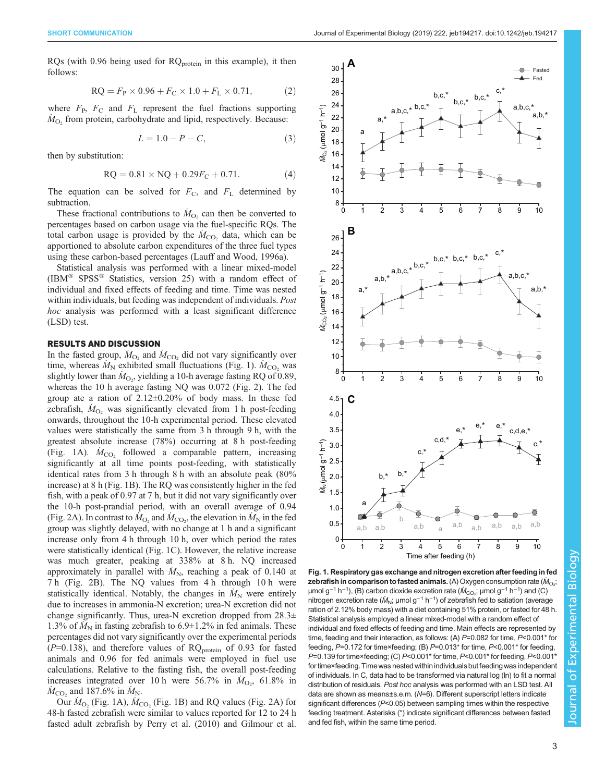<span id="page-2-0"></span>RQs (with  $0.96$  being used for  $RQ<sub>protein</sub>$  in this example), it then follows:

$$
RQ = F_P \times 0.96 + F_C \times 1.0 + F_L \times 0.71,
$$
 (2)

where  $F_{\rm P}$ ,  $F_{\rm C}$  and  $F_{\rm L}$  represent the fuel fractions supporting  $\dot{M}_{\text{O}_2}$  from protein, carbohydrate and lipid, respectively. Because:

$$
L = 1.0 - P - C,\t\t(3)
$$

then by substitution:

$$
RQ = 0.81 \times NQ + 0.29F_C + 0.71. \tag{4}
$$

The equation can be solved for  $F<sub>C</sub>$ , and  $F<sub>L</sub>$  determined by subtraction.

These fractional contributions to  $\dot{M}_{\text{O}_2}$  can then be converted to percentages based on carbon usage via the fuel-specific RQs. The total carbon usage is provided by the  $\dot{M}_{\text{CO}_2}$  data, which can be apportioned to absolute carbon expenditures of the three fuel types using these carbon-based percentages ([Lauff and Wood, 1996a\)](#page-6-0).

Statistical analysis was performed with a linear mixed-model (IBM® SPSS® Statistics, version 25) with a random effect of individual and fixed effects of feeding and time. Time was nested within individuals, but feeding was independent of individuals. Post hoc analysis was performed with a least significant difference (LSD) test.

# RESULTS AND DISCUSSION

In the fasted group,  $\dot{M}_{\text{O}_2}$  and  $\dot{M}_{\text{CO}_2}$  did not vary significantly over time, whereas  $\dot{M}_{\rm N}$  exhibited small fluctuations (Fig. 1).  $\dot{M}_{\rm CO_2}$  was slightly lower than  $\dot{M}_{\text{O}_2}$ , yielding a 10-h average fasting RQ of 0.89, whereas the 10 h average fasting NQ was 0.072 ([Fig. 2\)](#page-3-0). The fed group ate a ration of  $2.12 \pm 0.20\%$  of body mass. In these fed zebrafish,  $\dot{M}_{O_2}$  was significantly elevated from 1 h post-feeding onwards, throughout the 10-h experimental period. These elevated values were statistically the same from 3 h through 9 h, with the greatest absolute increase (78%) occurring at 8 h post-feeding (Fig. 1A).  $\dot{M}_{\text{CO}_2}$  followed a comparable pattern, increasing significantly at all time points post-feeding, with statistically identical rates from 3 h through 8 h with an absolute peak (80% increase) at 8 h (Fig. 1B). The RQ was consistently higher in the fed fish, with a peak of 0.97 at 7 h, but it did not vary significantly over the 10-h post-prandial period, with an overall average of 0.94 [\(Fig. 2A](#page-3-0)). In contrast to  $\hat{M}_{\text{O}_2}$  and  $\hat{M}_{\text{CO}_2}$ , the elevation in  $\hat{M}_{\text{N}}$  in the fed group was slightly delayed, with no change at 1 h and a significant increase only from 4 h through 10 h, over which period the rates were statistically identical (Fig. 1C). However, the relative increase was much greater, peaking at 338% at 8 h. NQ increased approximately in parallel with  $\dot{M}_{\rm N}$ , reaching a peak of 0.140 at 7 h ([Fig. 2B](#page-3-0)). The NQ values from 4 h through 10 h were statistically identical. Notably, the changes in  $\dot{M}_{\rm N}$  were entirely due to increases in ammonia-N excretion; urea-N excretion did not change significantly. Thus, urea-N excretion dropped from  $28.3\pm$ 1.3% of  $\tilde{M}_{\rm N}$  in fasting zebrafish to 6.9±1.2% in fed animals. These percentages did not vary significantly over the experimental periods  $(P=0.138)$ , and therefore values of RQ<sub>protein</sub> of 0.93 for fasted animals and 0.96 for fed animals were employed in fuel use calculations. Relative to the fasting fish, the overall post-feeding increases integrated over 10 h were 56.7% in  $M<sub>O</sub>$ , 61.8% in  $\dot{M}_{\text{CO}_2}$  and 187.6% in  $\dot{M}_{\text{N}}$ .

Our  $\dot{M}_{\text{O}_2}$  (Fig. 1A),  $\dot{M}_{\text{CO}_2}$  (Fig. 1B) and RQ values [\(Fig. 2A](#page-3-0)) for 48-h fasted zebrafish were similar to values reported for 12 to 24 h fasted adult zebrafish by [Perry et al. \(2010\)](#page-6-0) and [Gilmour et al.](#page-6-0)



Fig. 1. Respiratory gas exchange and nitrogen excretion after feeding in fed **zebrafish in comparison to fasted animals.** (A) Oxygen consumption rate ( $\dot{M}_\mathrm{O_2};$ µmol g<sup>-1</sup> h<sup>-1</sup>), (B) carbon dioxide excretion rate ( $\dot{M}_{\rm CO_2}$ ; µmol g<sup>-1</sup> h<sup>-1</sup>) and (C) nitrogen excretion rate ( $\dot{M}_{\rm N}$ ; µmol g<sup>-1</sup> h<sup>-1</sup>) of zebrafish fed to satiation (average ration of 2.12% body mass) with a diet containing 51% protein, or fasted for 48 h. Statistical analysis employed a linear mixed-model with a random effect of individual and fixed effects of feeding and time. Main effects are represented by time, feeding and their interaction, as follows: (A) P=0.082 for time, P<0.001\* for feeding, P=0.172 for time×feeding; (B) P=0.013\* for time, P<0.001\* for feeding, P=0.139 for time×feeding; (C) P<0.001\* for time, P<0.001\* for feeding, P<0.001\* for time×feeding. Timewas nested within individuals but feeding was independent of individuals. In C, data had to be transformed via natural log (ln) to fit a normal distribution of residuals. Post hoc analysis was performed with an LSD test. All data are shown as means±s.e.m. (N=6). Different superscript letters indicate significant differences (P<0.05) between sampling times within the respective feeding treatment. Asterisks (\*) indicate significant differences between fasted and fed fish, within the same time period.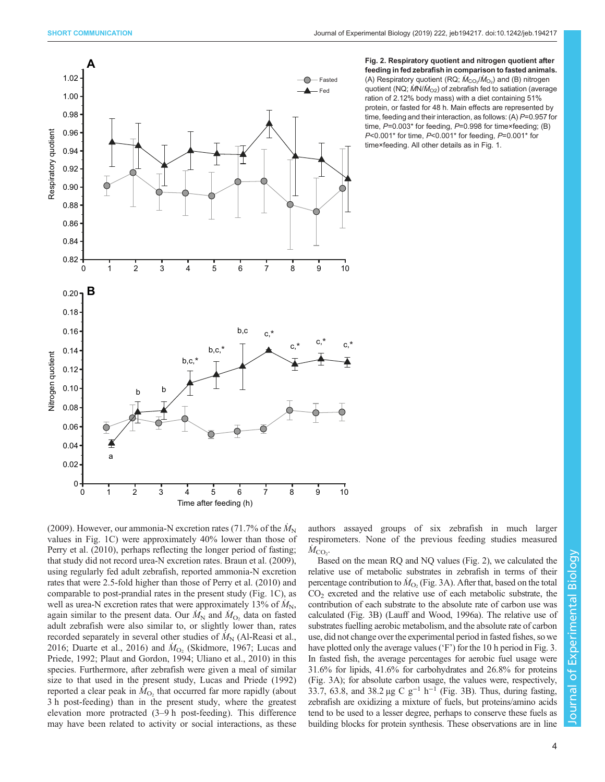<span id="page-3-0"></span>



[\(2009\)](#page-6-0). However, our ammonia-N excretion rates (71.7% of the  $\dot{M}_\text{N}$ values in [Fig. 1](#page-2-0)C) were approximately 40% lower than those of [Perry et al. \(2010\)](#page-6-0), perhaps reflecting the longer period of fasting; that study did not record urea-N excretion rates. [Braun et al. \(2009\),](#page-5-0) using regularly fed adult zebrafish, reported ammonia-N excretion rates that were 2.5-fold higher than those of [Perry et al. \(2010\)](#page-6-0) and comparable to post-prandial rates in the present study [\(Fig. 1C](#page-2-0)), as well as urea-N excretion rates that were approximately 13% of  $\dot{M}_{\rm N}$ , again similar to the present data. Our  $\dot{M}_{\rm N}$  and  $\dot{M}_{\rm O_2}$  data on fasted adult zebrafish were also similar to, or slightly lower than, rates recorded separately in several other studies of  $\dot{M}_{\rm N}$  [\(Al-Reasi et al.,](#page-5-0) [2016](#page-5-0); [Duarte et al., 2016\)](#page-5-0) and  $\dot{M}_{O_2}$  (Skidmore, [1967](#page-6-0); [Lucas and](#page-6-0) [Priede, 1992](#page-6-0); [Plaut and Gordon, 1994](#page-6-0); [Uliano et al., 2010](#page-6-0)) in this species. Furthermore, after zebrafish were given a meal of similar size to that used in the present study, [Lucas and Priede \(1992\)](#page-6-0) reported a clear peak in  $\hat{M}_{O_2}$  that occurred far more rapidly (about 3 h post-feeding) than in the present study, where the greatest elevation more protracted (3–9 h post-feeding). This difference may have been related to activity or social interactions, as these

authors assayed groups of six zebrafish in much larger respirometers. None of the previous feeding studies measured  $\dot{M}_{\rm CO_2}$ .

Based on the mean RQ and NQ values (Fig. 2), we calculated the relative use of metabolic substrates in zebrafish in terms of their percentage contribution to  $\dot{M}_{\text{O}_2}$  [\(Fig. 3](#page-4-0)A). After that, based on the total  $CO<sub>2</sub>$  excreted and the relative use of each metabolic substrate, the contribution of each substrate to the absolute rate of carbon use was calculated [\(Fig. 3B](#page-4-0)) [\(Lauff and Wood, 1996a](#page-6-0)). The relative use of substrates fuelling aerobic metabolism, and the absolute rate of carbon use, did not change over the experimental period in fasted fishes, so we have plotted only the average values ('F') for the 10 h period in [Fig. 3.](#page-4-0) In fasted fish, the average percentages for aerobic fuel usage were 31.6% for lipids, 41.6% for carbohydrates and 26.8% for proteins [\(Fig. 3](#page-4-0)A); for absolute carbon usage, the values were, respectively, 33.7, 63.8, and 38.2 µg C  $g^{-1}$  h<sup>-1</sup> [\(Fig. 3](#page-4-0)B). Thus, during fasting, zebrafish are oxidizing a mixture of fuels, but proteins/amino acids tend to be used to a lesser degree, perhaps to conserve these fuels as building blocks for protein synthesis. These observations are in line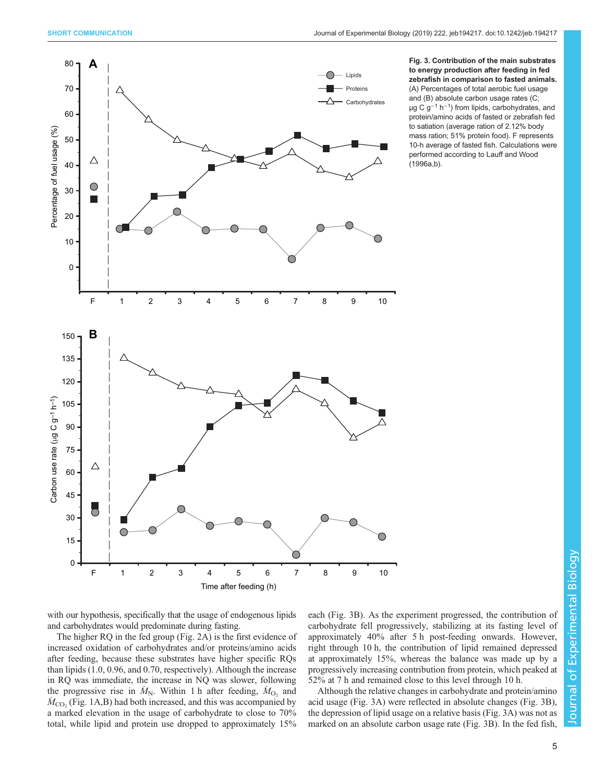<span id="page-4-0"></span>

Fig. 3. Contribution of the main substrates to energy production after feeding in fed zebrafish in comparison to fasted animals. (A) Percentages of total aerobic fuel usage and (B) absolute carbon usage rates (C; µg C g<sup>−1</sup> h<sup>−1</sup>) from lipids, carbohydrates, and protein/amino acids of fasted or zebrafish fed to satiation (average ration of 2.12% body mass ration; 51% protein food). F represents 10-h average of fasted fish. Calculations were performed according to [Lauff and Wood](#page-6-0) [\(1996a,b\).](#page-6-0)

with our hypothesis, specifically that the usage of endogenous lipids and carbohydrates would predominate during fasting.

The higher RQ in the fed group [\(Fig. 2](#page-3-0)A) is the first evidence of increased oxidation of carbohydrates and/or proteins/amino acids after feeding, because these substrates have higher specific RQs than lipids (1.0, 0.96, and 0.70, respectively). Although the increase in RQ was immediate, the increase in NQ was slower, following the progressive rise in  $\dot{M}_{\text{N}}$ . Within 1 h after feeding,  $\dot{M}_{\text{O}_2}$  and  $\dot{M}_{\rm CO_2}$  [\(Fig. 1](#page-2-0)A,B) had both increased, and this was accompanied by a marked elevation in the usage of carbohydrate to close to 70% total, while lipid and protein use dropped to approximately 15%

each (Fig. 3B). As the experiment progressed, the contribution of carbohydrate fell progressively, stabilizing at its fasting level of approximately 40% after 5 h post-feeding onwards. However, right through 10 h, the contribution of lipid remained depressed at approximately 15%, whereas the balance was made up by a progressively increasing contribution from protein, which peaked at 52% at 7 h and remained close to this level through 10 h.

Although the relative changes in carbohydrate and protein/amino acid usage (Fig. 3A) were reflected in absolute changes (Fig. 3B), the depression of lipid usage on a relative basis (Fig. 3A) was not as marked on an absolute carbon usage rate (Fig. 3B). In the fed fish,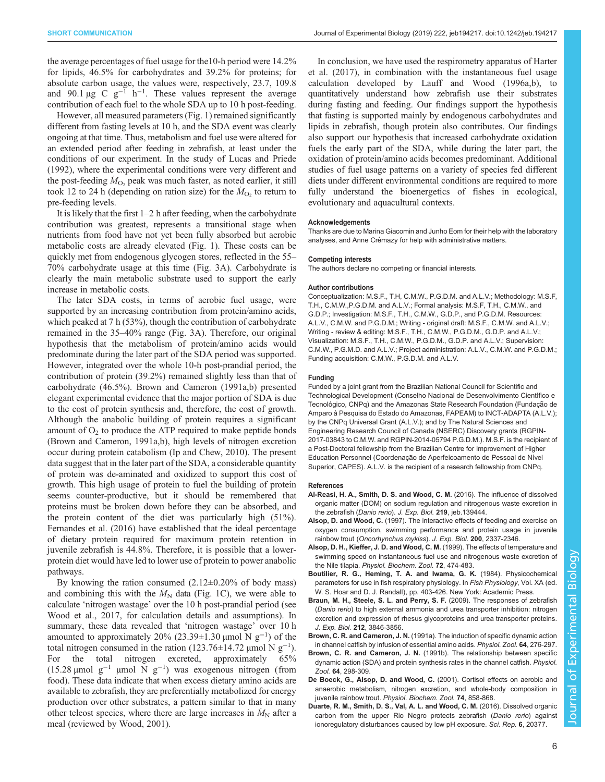<span id="page-5-0"></span>the average percentages of fuel usage for the10-h period were 14.2% for lipids, 46.5% for carbohydrates and 39.2% for proteins; for absolute carbon usage, the values were, respectively, 23.7, 109.8 and 90.1 µg C  $g^{-1}$  h<sup>-1</sup>. These values represent the average contribution of each fuel to the whole SDA up to 10 h post-feeding.

However, all measured parameters [\(Fig. 1\)](#page-2-0) remained significantly different from fasting levels at 10 h, and the SDA event was clearly ongoing at that time. Thus, metabolism and fuel use were altered for an extended period after feeding in zebrafish, at least under the conditions of our experiment. In the study of [Lucas and Priede](#page-6-0) [\(1992\)](#page-6-0), where the experimental conditions were very different and the post-feeding  $\dot{M}_{\text{O}_2}$  peak was much faster, as noted earlier, it still took 12 to 24 h (depending on ration size) for the  $\dot{M}_{\text{O}_2}$  to return to pre-feeding levels.

It is likely that the first 1–2 h after feeding, when the carbohydrate contribution was greatest, represents a transitional stage when nutrients from food have not yet been fully absorbed but aerobic metabolic costs are already elevated [\(Fig. 1](#page-2-0)). These costs can be quickly met from endogenous glycogen stores, reflected in the 55– 70% carbohydrate usage at this time ([Fig. 3A](#page-4-0)). Carbohydrate is clearly the main metabolic substrate used to support the early increase in metabolic costs.

The later SDA costs, in terms of aerobic fuel usage, were supported by an increasing contribution from protein/amino acids, which peaked at 7 h (53%), though the contribution of carbohydrate remained in the 35–40% range ([Fig. 3A](#page-4-0)). Therefore, our original hypothesis that the metabolism of protein/amino acids would predominate during the later part of the SDA period was supported. However, integrated over the whole 10-h post-prandial period, the contribution of protein (39.2%) remained slightly less than that of carbohydrate (46.5%). Brown and Cameron (1991a,b) presented elegant experimental evidence that the major portion of SDA is due to the cost of protein synthesis and, therefore, the cost of growth. Although the anabolic building of protein requires a significant amount of  $O<sub>2</sub>$  to produce the ATP required to make peptide bonds (Brown and Cameron, 1991a,b), high levels of nitrogen excretion occur during protein catabolism ([Ip and Chew, 2010](#page-6-0)). The present data suggest that in the later part of the SDA, a considerable quantity of protein was de-aminated and oxidized to support this cost of growth. This high usage of protein to fuel the building of protein seems counter-productive, but it should be remembered that proteins must be broken down before they can be absorbed, and the protein content of the diet was particularly high (51%). [Fernandes et al. \(2016\)](#page-6-0) have established that the ideal percentage of dietary protein required for maximum protein retention in juvenile zebrafish is 44.8%. Therefore, it is possible that a lowerprotein diet would have led to lower use of protein to power anabolic pathways.

By knowing the ration consumed  $(2.12\pm0.20\%$  of body mass) and combining this with the  $\dot{M}_{\rm N}$  data ([Fig. 1C](#page-2-0)), we were able to calculate 'nitrogen wastage' over the 10 h post-prandial period (see [Wood et al., 2017,](#page-6-0) for calculation details and assumptions). In summary, these data revealed that 'nitrogen wastage' over 10 h amounted to approximately 20% (23.39±1.30 µmol N  $g^{-1}$ ) of the total nitrogen consumed in the ration (123.76±14.72 µmol N  $g^{-1}$ ). For the total nitrogen excreted, approximately 65% (15.28 µmol  $g^{-1}$  µmol N  $g^{-1}$ ) was exogenous nitrogen (from food). These data indicate that when excess dietary amino acids are available to zebrafish, they are preferentially metabolized for energy production over other substrates, a pattern similar to that in many other teleost species, where there are large increases in  $\dot{M}_N$  after a meal (reviewed by [Wood, 2001\)](#page-6-0).

In conclusion, we have used the respirometry apparatus of [Harter](#page-6-0) [et al. \(2017\),](#page-6-0) in combination with the instantaneous fuel usage calculation developed by [Lauff and Wood \(1996a,b\),](#page-6-0) to quantitatively understand how zebrafish use their substrates during fasting and feeding. Our findings support the hypothesis that fasting is supported mainly by endogenous carbohydrates and lipids in zebrafish, though protein also contributes. Our findings also support our hypothesis that increased carbohydrate oxidation fuels the early part of the SDA, while during the later part, the oxidation of protein/amino acids becomes predominant. Additional studies of fuel usage patterns on a variety of species fed different diets under different environmental conditions are required to more fully understand the bioenergetics of fishes in ecological, evolutionary and aquacultural contexts.

#### Acknowledgements

Thanks are due to Marina Giacomin and Junho Eom for their help with the laboratory analyses, and Anne Crémazy for help with administrative matters.

#### Competing interests

The authors declare no competing or financial interests.

#### Author contributions

Conceptualization: M.S.F., T.H, C.M.W., P.G.D.M. and A.L.V.; Methodology: M.S.F, T.H., C.M.W.,P.G.D.M. and A.L.V.; Formal analysis: M.S.F, T.H., C.M.W., and G.D.P.; Investigation: M.S.F., T.H., C.M.W., G.D.P., and P.G.D.M. Resources: A.L.V., C.M.W. and P.G.D.M.; Writing - original draft: M.S.F., C.M.W. and A.L.V.; Writing - review & editing: M.S.F., T.H., C.M.W., P.G.D.M., G.D.P. and A.L.V.; Visualization: M.S.F., T.H., C.M.W., P.G.D.M., G.D.P. and A.L.V.; Supervision: C.M.W., P.G.M.D. and A.L.V.; Project administration: A.L.V., C.M.W. and P.G.D.M.; Funding acquisition: C.M.W., P.G.D.M. and A.L.V.

## Funding

Funded by a joint grant from the Brazilian National Council for Scientific and Technological Development (Conselho Nacional de Desenvolvimento Científico e Tecnológico, CNPq) and the Amazonas State Research Foundation (Fundação de Amparo à Pesquisa do Estado do Amazonas, FAPEAM) to INCT-ADAPTA (A.L.V.); by the CNPq Universal Grant (A.L.V.); and by The Natural Sciences and Engineering Research Council of Canada (NSERC) Discovery grants (RGPIN-2017-03843 to C.M.W. and RGPIN-2014-05794 P.G.D.M.). M.S.F. is the recipient of a Post-Doctoral fellowship from the Brazilian Centre for Improvement of Higher Education Personnel (Coordenação de Aperfeicoamento de Pessoal de Nível Superior, CAPES). A.L.V. is the recipient of a research fellowship from CNPq.

# References

- [Al-Reasi, H. A., Smith, D. S. and Wood, C. M.](https://doi.org/10.1242/jeb.139444) (2016). The influence of dissolved [organic matter \(DOM\) on sodium regulation and nitrogenous waste excretion in](https://doi.org/10.1242/jeb.139444) [the zebrafish \(](https://doi.org/10.1242/jeb.139444)Danio rerio). J. Exp. Biol. 219, jeb.139444.
- Alsop, D. and Wood, C. (1997). The interactive effects of feeding and exercise on oxygen consumption, swimming performance and protein usage in juvenile rainbow trout (Oncorhynchus mykiss). J. Exp. Biol. 200, 2337-2346.
- [Alsop, D. H., Kieffer, J. D. and Wood, C. M.](https://doi.org/10.1086/316686) (1999). The effects of temperature and [swimming speed on instantaneous fuel use and nitrogenous waste excretion of](https://doi.org/10.1086/316686) the Nile tilapia. [Physiol. Biochem. Zool.](https://doi.org/10.1086/316686) 72, 474-483.
- Boutilier, R. G., Heming, T. A. and Iwama, G. K. (1984). Physicochemical parameters for use in fish respiratory physiology. In Fish Physiology, Vol. XA (ed. W. S. Hoar and D. J. Randall), pp. 403-426. New York: Academic Press.
- [Braun, M. H., Steele, S. L. and Perry, S. F.](https://doi.org/10.1242/jeb.034157) (2009). The responses of zebrafish (Danio rerio[\) to high external ammonia and urea transporter inhibition: nitrogen](https://doi.org/10.1242/jeb.034157) [excretion and expression of rhesus glycoproteins and urea transporter proteins.](https://doi.org/10.1242/jeb.034157) J. Exp. Biol. 212[, 3846-3856.](https://doi.org/10.1242/jeb.034157)
- Brown, C. R. and Cameron, J. N. [\(1991a\). The induction of specific dynamic action](https://doi.org/10.1086/physzool.64.1.30158524) [in channel catfish by infusion of essential amino acids.](https://doi.org/10.1086/physzool.64.1.30158524) Physiol. Zool. 64, 276-297.
- Brown, C. R. and Cameron, J. N. [\(1991b\). The relationship between specific](https://doi.org/10.1086/physzool.64.1.30158525) [dynamic action \(SDA\) and protein synthesis rates in the channel catfish.](https://doi.org/10.1086/physzool.64.1.30158525) Physiol. Zool. 64[, 298-309.](https://doi.org/10.1086/physzool.64.1.30158525)
- [De Boeck, G., Alsop, D. and Wood, C.](https://doi.org/10.1086/323796) (2001). Cortisol effects on aerobic and [anaerobic metabolism, nitrogen excretion, and whole-body composition in](https://doi.org/10.1086/323796) juvenile rainbow trout. [Physiol. Biochem. Zool.](https://doi.org/10.1086/323796) 74, 858-868.
- [Duarte, R. M., Smith, D. S., Val, A. L. and Wood, C. M.](https://doi.org/10.1038/srep20377) (2016). Dissolved organic [carbon from the upper Rio Negro protects zebrafish \(](https://doi.org/10.1038/srep20377)Danio rerio) against [ionoregulatory disturbances caused by low pH exposure.](https://doi.org/10.1038/srep20377) Sci. Rep. 6, 20377.